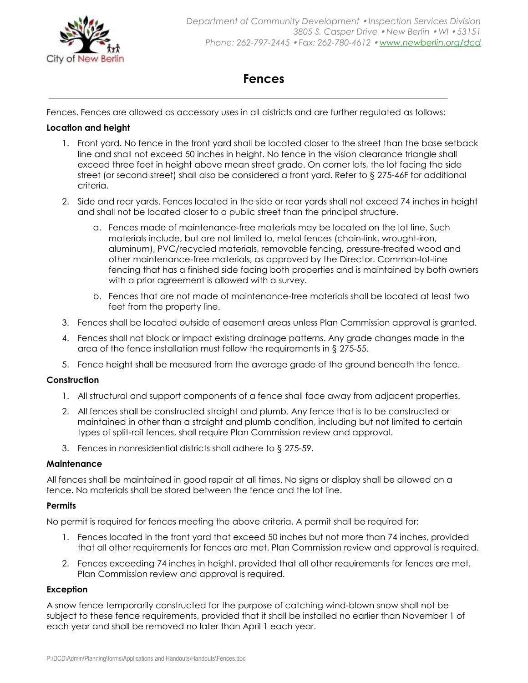

# **Fences**

Fences. Fences are allowed as accessory uses in all districts and are further regulated as follows:

### **Location and height**

- 1. Front yard. No fence in the front yard shall be located closer to the street than the base setback line and shall not exceed 50 inches in height. No fence in the vision clearance triangle shall exceed three feet in height above mean street grade. On corner lots, the lot facing the side street (or second street) shall also be considered a front yard. Refer to § [275-46F](https://ecode360.com/27434717#27434717) for additional criteria.
- 2. Side and rear yards. Fences located in the side or rear yards shall not exceed 74 inches in height and shall not be located closer to a public street than the principal structure.
	- a. Fences made of maintenance-free materials may be located on the lot line. Such materials include, but are not limited to, metal fences (chain-link, wrought-iron, aluminum), PVC/recycled materials, removable fencing, pressure-treated wood and other maintenance-free materials, as approved by the Director. Common-lot-line fencing that has a finished side facing both properties and is maintained by both owners with a prior agreement is allowed with a survey.
	- b. Fences that are not made of maintenance-free materials shall be located at least two feet from the property line.
- 3. Fences shall be located outside of easement areas unless Plan Commission approval is granted.
- 4. Fences shall not block or impact existing drainage patterns. Any grade changes made in the area of the fence installation must follow the requirements in § [275-55.](https://ecode360.com/7771129#7771129)
- 5. Fence height shall be measured from the average grade of the ground beneath the fence.

## **Construction**

- 1. All structural and support components of a fence shall face away from adjacent properties.
- 2. All fences shall be constructed straight and plumb. Any fence that is to be constructed or maintained in other than a straight and plumb condition, including but not limited to certain types of split-rail fences, shall require Plan Commission review and approval.
- 3. Fences in nonresidential districts shall adhere to § [275-59.](https://ecode360.com/7772081#7772081)

#### **Maintenance**

All fences shall be maintained in good repair at all times. No signs or display shall be allowed on a fence. No materials shall be stored between the fence and the lot line.

## **Permits**

No permit is required for fences meeting the above criteria. A permit shall be required for:

- 1. Fences located in the front yard that exceed 50 inches but not more than 74 inches, provided that all other requirements for fences are met. Plan Commission review and approval is required.
- 2. Fences exceeding 74 inches in height, provided that all other requirements for fences are met. Plan Commission review and approval is required.

## **Exception**

A snow fence temporarily constructed for the purpose of catching wind-blown snow shall not be subject to these fence requirements, provided that it shall be installed no earlier than November 1 of each year and shall be removed no later than April 1 each year.